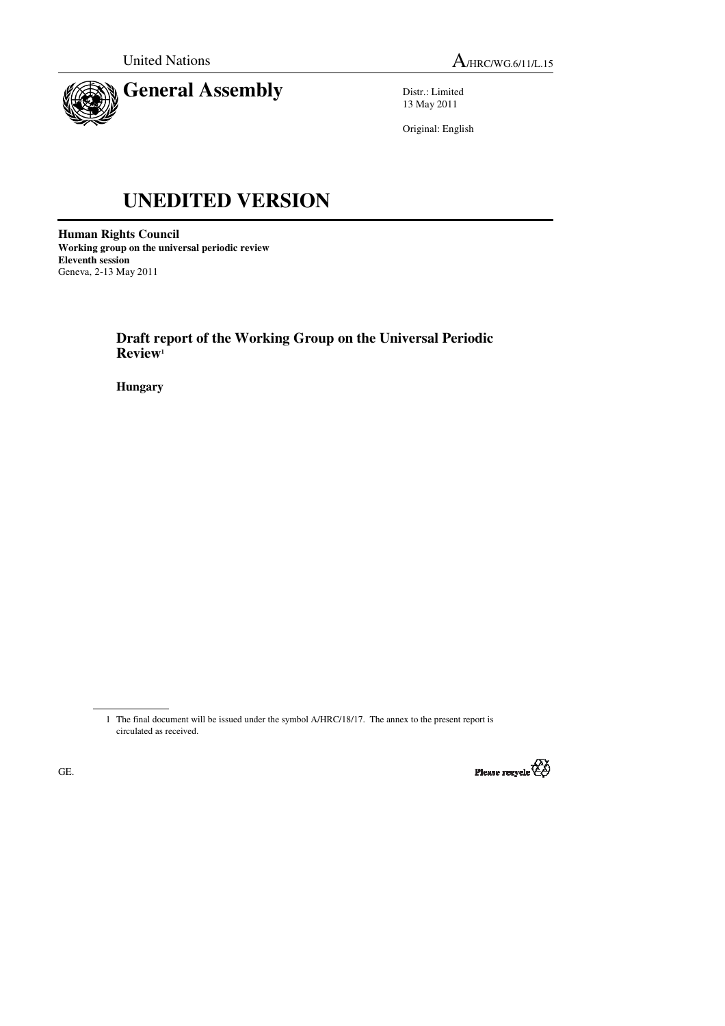



Distr.: Limited 13 May 2011

Original: English

# **UNEDITED VERSION**

**Human Rights Council Working group on the universal periodic review Eleventh session**  Geneva, 2-13 May 2011

> **Draft report of the Working Group on the Universal Periodic Review<sup>1</sup>**

 **Hungary** 

 <sup>1</sup> The final document will be issued under the symbol A/HRC/18/17. The annex to the present report is circulated as received.

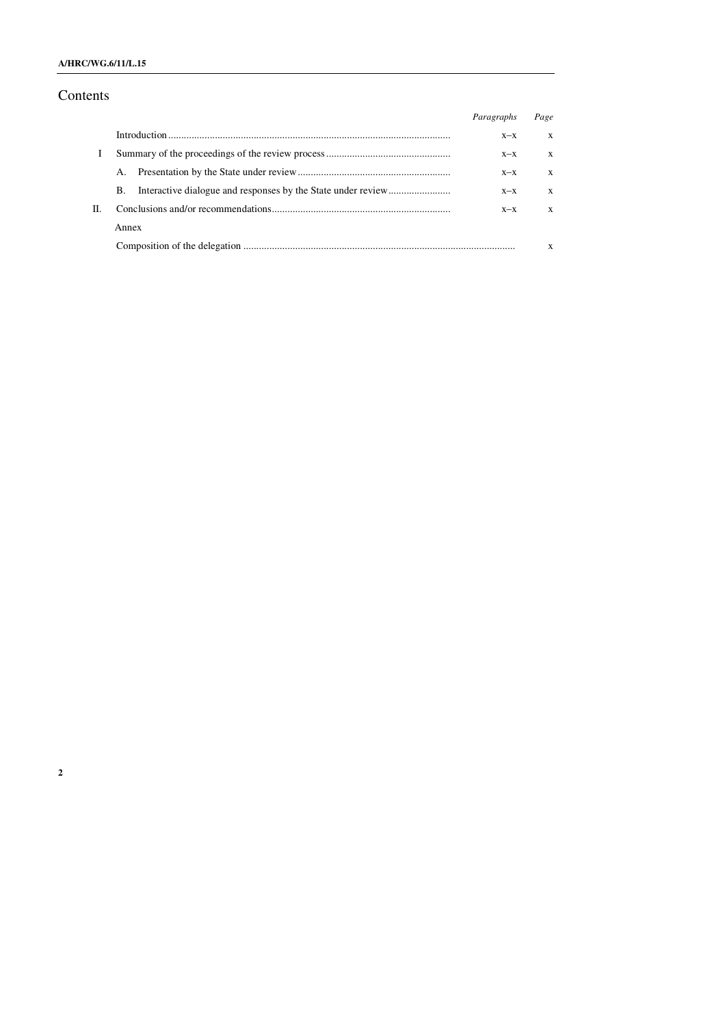# **A/HRC/WG.6/11/L.15**

# Contents

|    |       | Paragraphs | Page |
|----|-------|------------|------|
|    |       | $X-X$      | X    |
|    |       | $X-X$      | X    |
|    |       | $X - X$    | X    |
|    | В.    | $X - X$    | X    |
| П. |       | $X - X$    | X    |
|    | Annex |            |      |
|    |       |            | X    |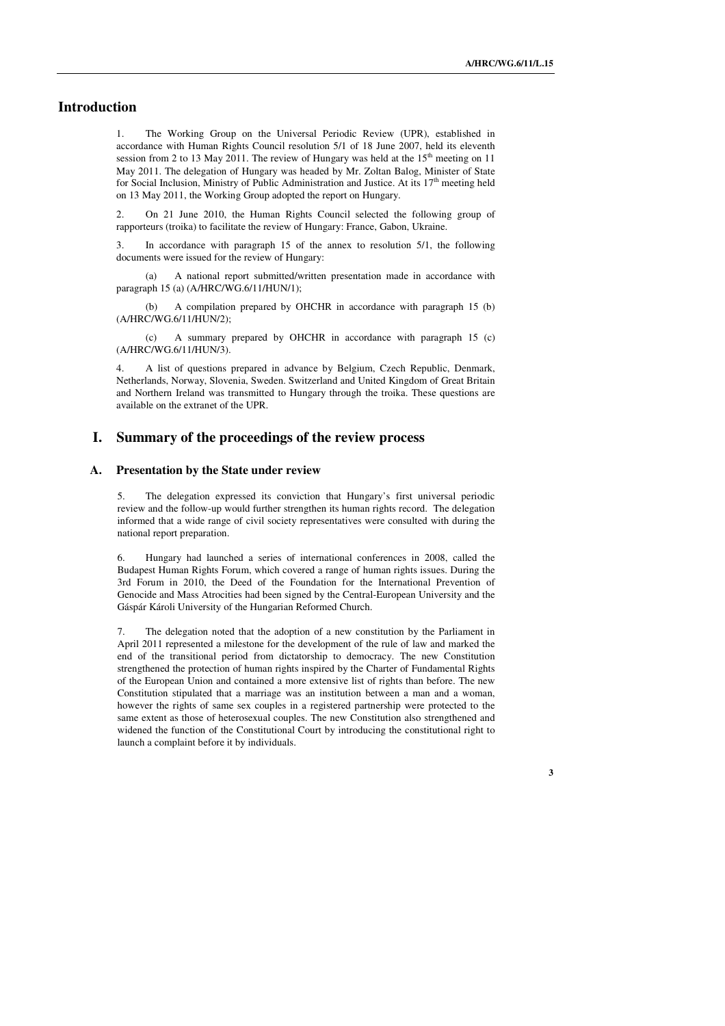## **Introduction**

1. The Working Group on the Universal Periodic Review (UPR), established in accordance with Human Rights Council resolution 5/1 of 18 June 2007, held its eleventh session from 2 to 13 May 2011. The review of Hungary was held at the  $15<sup>th</sup>$  meeting on 11 May 2011. The delegation of Hungary was headed by Mr. Zoltan Balog, Minister of State for Social Inclusion, Ministry of Public Administration and Justice. At its  $17<sup>th</sup>$  meeting held on 13 May 2011, the Working Group adopted the report on Hungary.

2. On 21 June 2010, the Human Rights Council selected the following group of rapporteurs (troika) to facilitate the review of Hungary: France, Gabon, Ukraine.

3. In accordance with paragraph 15 of the annex to resolution 5/1, the following documents were issued for the review of Hungary:

 (a) A national report submitted/written presentation made in accordance with paragraph 15 (a) (A/HRC/WG.6/11/HUN/1);

 (b) A compilation prepared by OHCHR in accordance with paragraph 15 (b) (A/HRC/WG.6/11/HUN/2);

 (c) A summary prepared by OHCHR in accordance with paragraph 15 (c) (A/HRC/WG.6/11/HUN/3).

4. A list of questions prepared in advance by Belgium, Czech Republic, Denmark, Netherlands, Norway, Slovenia, Sweden. Switzerland and United Kingdom of Great Britain and Northern Ireland was transmitted to Hungary through the troika. These questions are available on the extranet of the UPR.

### **I. Summary of the proceedings of the review process**

#### **A. Presentation by the State under review**

5. The delegation expressed its conviction that Hungary's first universal periodic review and the follow-up would further strengthen its human rights record. The delegation informed that a wide range of civil society representatives were consulted with during the national report preparation.

6. Hungary had launched a series of international conferences in 2008, called the Budapest Human Rights Forum, which covered a range of human rights issues. During the 3rd Forum in 2010, the Deed of the Foundation for the International Prevention of Genocide and Mass Atrocities had been signed by the Central-European University and the Gáspár Károli University of the Hungarian Reformed Church.

7. The delegation noted that the adoption of a new constitution by the Parliament in April 2011 represented a milestone for the development of the rule of law and marked the end of the transitional period from dictatorship to democracy. The new Constitution strengthened the protection of human rights inspired by the Charter of Fundamental Rights of the European Union and contained a more extensive list of rights than before. The new Constitution stipulated that a marriage was an institution between a man and a woman, however the rights of same sex couples in a registered partnership were protected to the same extent as those of heterosexual couples. The new Constitution also strengthened and widened the function of the Constitutional Court by introducing the constitutional right to launch a complaint before it by individuals.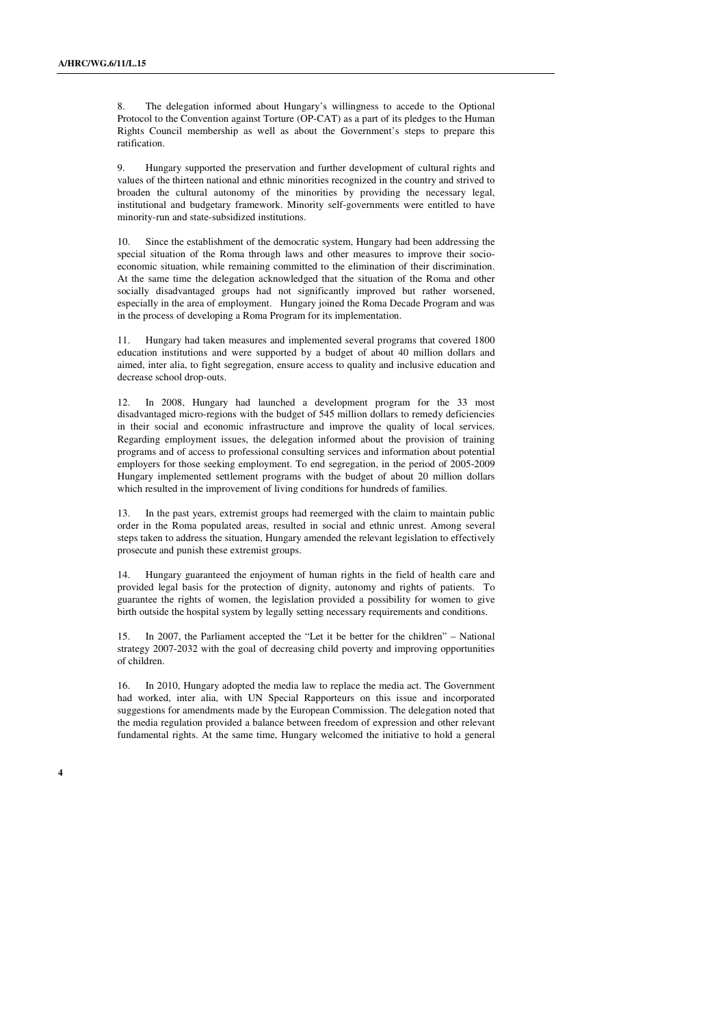8. The delegation informed about Hungary's willingness to accede to the Optional Protocol to the Convention against Torture (OP-CAT) as a part of its pledges to the Human Rights Council membership as well as about the Government's steps to prepare this ratification.

9. Hungary supported the preservation and further development of cultural rights and values of the thirteen national and ethnic minorities recognized in the country and strived to broaden the cultural autonomy of the minorities by providing the necessary legal, institutional and budgetary framework. Minority self-governments were entitled to have minority-run and state-subsidized institutions.

10. Since the establishment of the democratic system, Hungary had been addressing the special situation of the Roma through laws and other measures to improve their socioeconomic situation, while remaining committed to the elimination of their discrimination. At the same time the delegation acknowledged that the situation of the Roma and other socially disadvantaged groups had not significantly improved but rather worsened, especially in the area of employment. Hungary joined the Roma Decade Program and was in the process of developing a Roma Program for its implementation.

11. Hungary had taken measures and implemented several programs that covered 1800 education institutions and were supported by a budget of about 40 million dollars and aimed, inter alia, to fight segregation, ensure access to quality and inclusive education and decrease school drop-outs.

12. In 2008, Hungary had launched a development program for the 33 most disadvantaged micro-regions with the budget of 545 million dollars to remedy deficiencies in their social and economic infrastructure and improve the quality of local services. Regarding employment issues, the delegation informed about the provision of training programs and of access to professional consulting services and information about potential employers for those seeking employment. To end segregation, in the period of 2005-2009 Hungary implemented settlement programs with the budget of about 20 million dollars which resulted in the improvement of living conditions for hundreds of families.

13. In the past years, extremist groups had reemerged with the claim to maintain public order in the Roma populated areas, resulted in social and ethnic unrest. Among several steps taken to address the situation, Hungary amended the relevant legislation to effectively prosecute and punish these extremist groups.

14. Hungary guaranteed the enjoyment of human rights in the field of health care and provided legal basis for the protection of dignity, autonomy and rights of patients. To guarantee the rights of women, the legislation provided a possibility for women to give birth outside the hospital system by legally setting necessary requirements and conditions.

15. In 2007, the Parliament accepted the "Let it be better for the children" – National strategy 2007-2032 with the goal of decreasing child poverty and improving opportunities of children.

16. In 2010, Hungary adopted the media law to replace the media act. The Government had worked, inter alia, with UN Special Rapporteurs on this issue and incorporated suggestions for amendments made by the European Commission. The delegation noted that the media regulation provided a balance between freedom of expression and other relevant fundamental rights. At the same time, Hungary welcomed the initiative to hold a general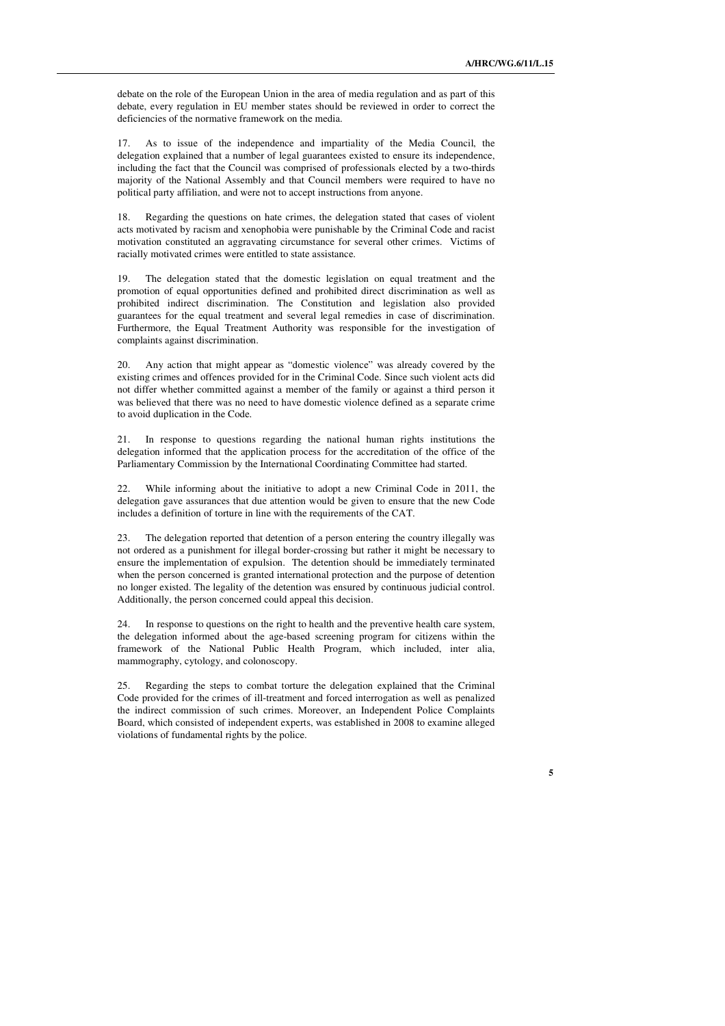debate on the role of the European Union in the area of media regulation and as part of this debate, every regulation in EU member states should be reviewed in order to correct the deficiencies of the normative framework on the media.

17. As to issue of the independence and impartiality of the Media Council, the delegation explained that a number of legal guarantees existed to ensure its independence, including the fact that the Council was comprised of professionals elected by a two-thirds majority of the National Assembly and that Council members were required to have no political party affiliation, and were not to accept instructions from anyone.

18. Regarding the questions on hate crimes, the delegation stated that cases of violent acts motivated by racism and xenophobia were punishable by the Criminal Code and racist motivation constituted an aggravating circumstance for several other crimes. Victims of racially motivated crimes were entitled to state assistance.

19. The delegation stated that the domestic legislation on equal treatment and the promotion of equal opportunities defined and prohibited direct discrimination as well as prohibited indirect discrimination. The Constitution and legislation also provided guarantees for the equal treatment and several legal remedies in case of discrimination. Furthermore, the Equal Treatment Authority was responsible for the investigation of complaints against discrimination.

20. Any action that might appear as "domestic violence" was already covered by the existing crimes and offences provided for in the Criminal Code. Since such violent acts did not differ whether committed against a member of the family or against a third person it was believed that there was no need to have domestic violence defined as a separate crime to avoid duplication in the Code.

21. In response to questions regarding the national human rights institutions the delegation informed that the application process for the accreditation of the office of the Parliamentary Commission by the International Coordinating Committee had started.

22. While informing about the initiative to adopt a new Criminal Code in 2011, the delegation gave assurances that due attention would be given to ensure that the new Code includes a definition of torture in line with the requirements of the CAT.

23. The delegation reported that detention of a person entering the country illegally was not ordered as a punishment for illegal border-crossing but rather it might be necessary to ensure the implementation of expulsion. The detention should be immediately terminated when the person concerned is granted international protection and the purpose of detention no longer existed. The legality of the detention was ensured by continuous judicial control. Additionally, the person concerned could appeal this decision.

24. In response to questions on the right to health and the preventive health care system, the delegation informed about the age-based screening program for citizens within the framework of the National Public Health Program, which included, inter alia, mammography, cytology, and colonoscopy.

25. Regarding the steps to combat torture the delegation explained that the Criminal Code provided for the crimes of ill-treatment and forced interrogation as well as penalized the indirect commission of such crimes. Moreover, an Independent Police Complaints Board, which consisted of independent experts, was established in 2008 to examine alleged violations of fundamental rights by the police.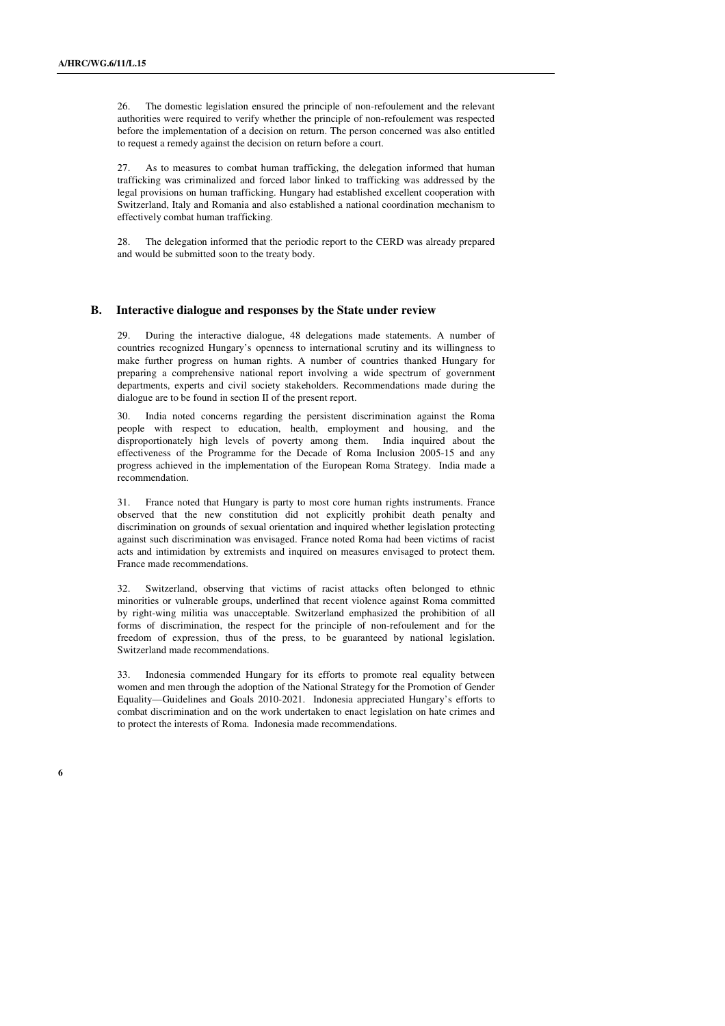26. The domestic legislation ensured the principle of non-refoulement and the relevant authorities were required to verify whether the principle of non-refoulement was respected before the implementation of a decision on return. The person concerned was also entitled to request a remedy against the decision on return before a court.

As to measures to combat human trafficking, the delegation informed that human trafficking was criminalized and forced labor linked to trafficking was addressed by the legal provisions on human trafficking. Hungary had established excellent cooperation with Switzerland, Italy and Romania and also established a national coordination mechanism to effectively combat human trafficking.

28. The delegation informed that the periodic report to the CERD was already prepared and would be submitted soon to the treaty body.

#### **B. Interactive dialogue and responses by the State under review**

29. During the interactive dialogue, 48 delegations made statements. A number of countries recognized Hungary's openness to international scrutiny and its willingness to make further progress on human rights. A number of countries thanked Hungary for preparing a comprehensive national report involving a wide spectrum of government departments, experts and civil society stakeholders. Recommendations made during the dialogue are to be found in section II of the present report.

30. India noted concerns regarding the persistent discrimination against the Roma people with respect to education, health, employment and housing, and the disproportionately high levels of poverty among them. India inquired about the effectiveness of the Programme for the Decade of Roma Inclusion 2005-15 and any progress achieved in the implementation of the European Roma Strategy. India made a recommendation.

31. France noted that Hungary is party to most core human rights instruments. France observed that the new constitution did not explicitly prohibit death penalty and discrimination on grounds of sexual orientation and inquired whether legislation protecting against such discrimination was envisaged. France noted Roma had been victims of racist acts and intimidation by extremists and inquired on measures envisaged to protect them. France made recommendations.

32. Switzerland, observing that victims of racist attacks often belonged to ethnic minorities or vulnerable groups, underlined that recent violence against Roma committed by right-wing militia was unacceptable. Switzerland emphasized the prohibition of all forms of discrimination, the respect for the principle of non-refoulement and for the freedom of expression, thus of the press, to be guaranteed by national legislation. Switzerland made recommendations.

Indonesia commended Hungary for its efforts to promote real equality between women and men through the adoption of the National Strategy for the Promotion of Gender Equality—Guidelines and Goals 2010-2021. Indonesia appreciated Hungary's efforts to combat discrimination and on the work undertaken to enact legislation on hate crimes and to protect the interests of Roma. Indonesia made recommendations.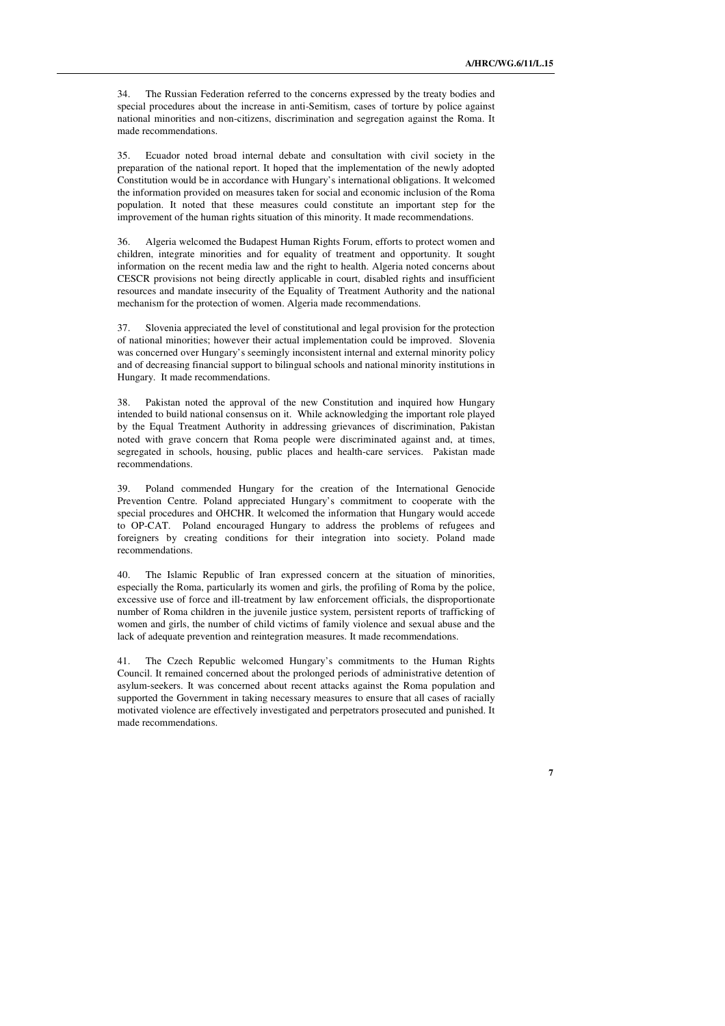**7** 

34. The Russian Federation referred to the concerns expressed by the treaty bodies and special procedures about the increase in anti-Semitism, cases of torture by police against national minorities and non-citizens, discrimination and segregation against the Roma. It made recommendations.

35. Ecuador noted broad internal debate and consultation with civil society in the preparation of the national report. It hoped that the implementation of the newly adopted Constitution would be in accordance with Hungary's international obligations. It welcomed the information provided on measures taken for social and economic inclusion of the Roma population. It noted that these measures could constitute an important step for the improvement of the human rights situation of this minority. It made recommendations.

36. Algeria welcomed the Budapest Human Rights Forum, efforts to protect women and children, integrate minorities and for equality of treatment and opportunity. It sought information on the recent media law and the right to health. Algeria noted concerns about CESCR provisions not being directly applicable in court, disabled rights and insufficient resources and mandate insecurity of the Equality of Treatment Authority and the national mechanism for the protection of women. Algeria made recommendations.

37. Slovenia appreciated the level of constitutional and legal provision for the protection of national minorities; however their actual implementation could be improved. Slovenia was concerned over Hungary's seemingly inconsistent internal and external minority policy and of decreasing financial support to bilingual schools and national minority institutions in Hungary. It made recommendations.

38. Pakistan noted the approval of the new Constitution and inquired how Hungary intended to build national consensus on it. While acknowledging the important role played by the Equal Treatment Authority in addressing grievances of discrimination, Pakistan noted with grave concern that Roma people were discriminated against and, at times, segregated in schools, housing, public places and health-care services. Pakistan made recommendations.

39. Poland commended Hungary for the creation of the International Genocide Prevention Centre. Poland appreciated Hungary's commitment to cooperate with the special procedures and OHCHR. It welcomed the information that Hungary would accede to OP-CAT. Poland encouraged Hungary to address the problems of refugees and foreigners by creating conditions for their integration into society. Poland made recommendations.

40. The Islamic Republic of Iran expressed concern at the situation of minorities, especially the Roma, particularly its women and girls, the profiling of Roma by the police, excessive use of force and ill-treatment by law enforcement officials, the disproportionate number of Roma children in the juvenile justice system, persistent reports of trafficking of women and girls, the number of child victims of family violence and sexual abuse and the lack of adequate prevention and reintegration measures. It made recommendations.

41. The Czech Republic welcomed Hungary's commitments to the Human Rights Council. It remained concerned about the prolonged periods of administrative detention of asylum-seekers. It was concerned about recent attacks against the Roma population and supported the Government in taking necessary measures to ensure that all cases of racially motivated violence are effectively investigated and perpetrators prosecuted and punished. It made recommendations.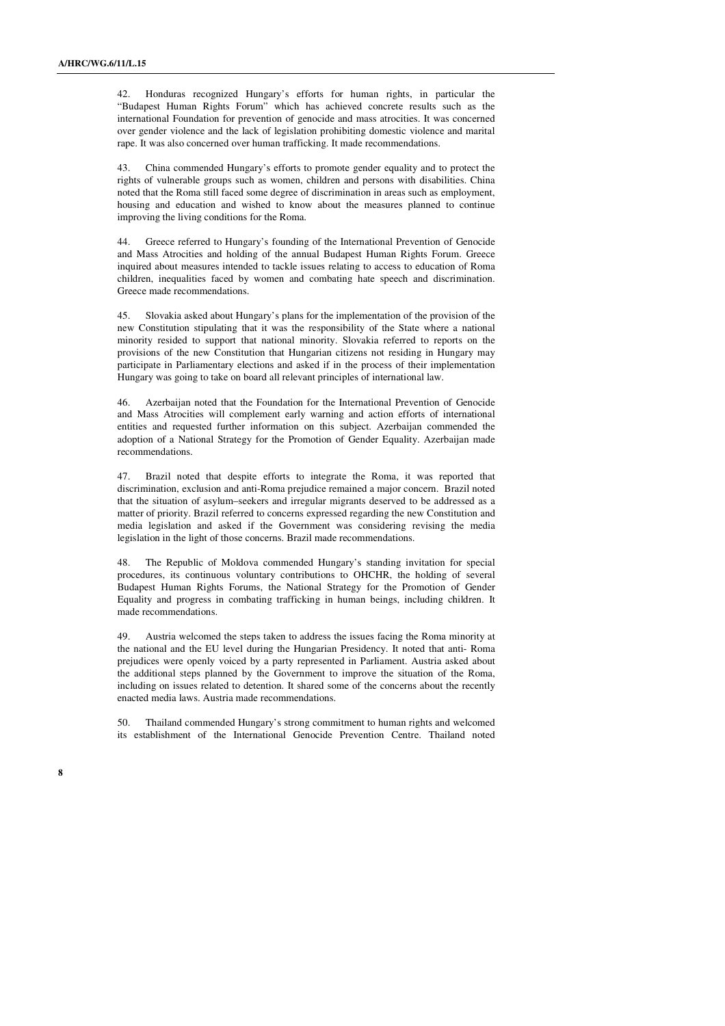42. Honduras recognized Hungary's efforts for human rights, in particular the "Budapest Human Rights Forum" which has achieved concrete results such as the international Foundation for prevention of genocide and mass atrocities. It was concerned over gender violence and the lack of legislation prohibiting domestic violence and marital rape. It was also concerned over human trafficking. It made recommendations.

43. China commended Hungary's efforts to promote gender equality and to protect the rights of vulnerable groups such as women, children and persons with disabilities. China noted that the Roma still faced some degree of discrimination in areas such as employment, housing and education and wished to know about the measures planned to continue improving the living conditions for the Roma.

44. Greece referred to Hungary's founding of the International Prevention of Genocide and Mass Atrocities and holding of the annual Budapest Human Rights Forum. Greece inquired about measures intended to tackle issues relating to access to education of Roma children, inequalities faced by women and combating hate speech and discrimination. Greece made recommendations.

45. Slovakia asked about Hungary's plans for the implementation of the provision of the new Constitution stipulating that it was the responsibility of the State where a national minority resided to support that national minority. Slovakia referred to reports on the provisions of the new Constitution that Hungarian citizens not residing in Hungary may participate in Parliamentary elections and asked if in the process of their implementation Hungary was going to take on board all relevant principles of international law.

46. Azerbaijan noted that the Foundation for the International Prevention of Genocide and Mass Atrocities will complement early warning and action efforts of international entities and requested further information on this subject. Azerbaijan commended the adoption of a National Strategy for the Promotion of Gender Equality. Azerbaijan made recommendations.

47. Brazil noted that despite efforts to integrate the Roma, it was reported that discrimination, exclusion and anti-Roma prejudice remained a major concern. Brazil noted that the situation of asylum–seekers and irregular migrants deserved to be addressed as a matter of priority. Brazil referred to concerns expressed regarding the new Constitution and media legislation and asked if the Government was considering revising the media legislation in the light of those concerns. Brazil made recommendations.

48. The Republic of Moldova commended Hungary's standing invitation for special procedures, its continuous voluntary contributions to OHCHR, the holding of several Budapest Human Rights Forums, the National Strategy for the Promotion of Gender Equality and progress in combating trafficking in human beings, including children. It made recommendations.

49. Austria welcomed the steps taken to address the issues facing the Roma minority at the national and the EU level during the Hungarian Presidency. It noted that anti- Roma prejudices were openly voiced by a party represented in Parliament. Austria asked about the additional steps planned by the Government to improve the situation of the Roma, including on issues related to detention. It shared some of the concerns about the recently enacted media laws. Austria made recommendations.

50. Thailand commended Hungary's strong commitment to human rights and welcomed its establishment of the International Genocide Prevention Centre. Thailand noted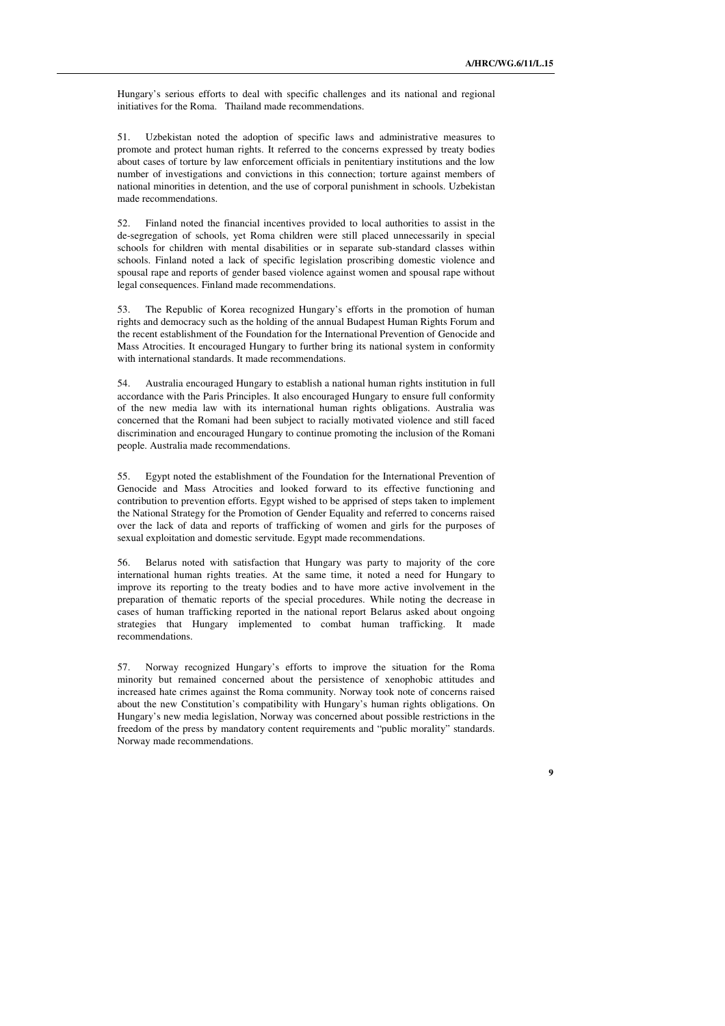**9** 

Hungary's serious efforts to deal with specific challenges and its national and regional initiatives for the Roma. Thailand made recommendations.

51. Uzbekistan noted the adoption of specific laws and administrative measures to promote and protect human rights. It referred to the concerns expressed by treaty bodies about cases of torture by law enforcement officials in penitentiary institutions and the low number of investigations and convictions in this connection; torture against members of national minorities in detention, and the use of corporal punishment in schools. Uzbekistan made recommendations.

52. Finland noted the financial incentives provided to local authorities to assist in the de-segregation of schools, yet Roma children were still placed unnecessarily in special schools for children with mental disabilities or in separate sub-standard classes within schools. Finland noted a lack of specific legislation proscribing domestic violence and spousal rape and reports of gender based violence against women and spousal rape without legal consequences. Finland made recommendations.

53. The Republic of Korea recognized Hungary's efforts in the promotion of human rights and democracy such as the holding of the annual Budapest Human Rights Forum and the recent establishment of the Foundation for the International Prevention of Genocide and Mass Atrocities. It encouraged Hungary to further bring its national system in conformity with international standards. It made recommendations.

54. Australia encouraged Hungary to establish a national human rights institution in full accordance with the Paris Principles. It also encouraged Hungary to ensure full conformity of the new media law with its international human rights obligations. Australia was concerned that the Romani had been subject to racially motivated violence and still faced discrimination and encouraged Hungary to continue promoting the inclusion of the Romani people. Australia made recommendations.

55. Egypt noted the establishment of the Foundation for the International Prevention of Genocide and Mass Atrocities and looked forward to its effective functioning and contribution to prevention efforts. Egypt wished to be apprised of steps taken to implement the National Strategy for the Promotion of Gender Equality and referred to concerns raised over the lack of data and reports of trafficking of women and girls for the purposes of sexual exploitation and domestic servitude. Egypt made recommendations.

56. Belarus noted with satisfaction that Hungary was party to majority of the core international human rights treaties. At the same time, it noted a need for Hungary to improve its reporting to the treaty bodies and to have more active involvement in the preparation of thematic reports of the special procedures. While noting the decrease in cases of human trafficking reported in the national report Belarus asked about ongoing strategies that Hungary implemented to combat human trafficking. It made recommendations.

57. Norway recognized Hungary's efforts to improve the situation for the Roma minority but remained concerned about the persistence of xenophobic attitudes and increased hate crimes against the Roma community. Norway took note of concerns raised about the new Constitution's compatibility with Hungary's human rights obligations. On Hungary's new media legislation, Norway was concerned about possible restrictions in the freedom of the press by mandatory content requirements and "public morality" standards. Norway made recommendations.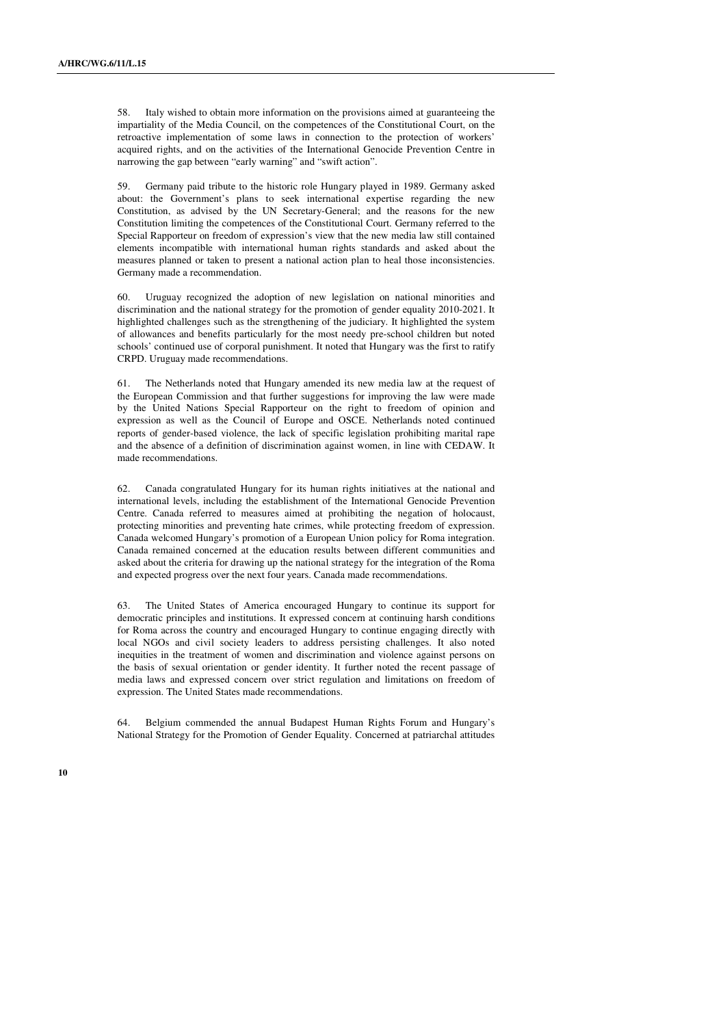58. Italy wished to obtain more information on the provisions aimed at guaranteeing the impartiality of the Media Council, on the competences of the Constitutional Court, on the retroactive implementation of some laws in connection to the protection of workers' acquired rights, and on the activities of the International Genocide Prevention Centre in narrowing the gap between "early warning" and "swift action".

59. Germany paid tribute to the historic role Hungary played in 1989. Germany asked about: the Government's plans to seek international expertise regarding the new Constitution, as advised by the UN Secretary-General; and the reasons for the new Constitution limiting the competences of the Constitutional Court. Germany referred to the Special Rapporteur on freedom of expression's view that the new media law still contained elements incompatible with international human rights standards and asked about the measures planned or taken to present a national action plan to heal those inconsistencies. Germany made a recommendation.

60. Uruguay recognized the adoption of new legislation on national minorities and discrimination and the national strategy for the promotion of gender equality 2010-2021. It highlighted challenges such as the strengthening of the judiciary. It highlighted the system of allowances and benefits particularly for the most needy pre-school children but noted schools' continued use of corporal punishment. It noted that Hungary was the first to ratify CRPD. Uruguay made recommendations.

61. The Netherlands noted that Hungary amended its new media law at the request of the European Commission and that further suggestions for improving the law were made by the United Nations Special Rapporteur on the right to freedom of opinion and expression as well as the Council of Europe and OSCE. Netherlands noted continued reports of gender-based violence, the lack of specific legislation prohibiting marital rape and the absence of a definition of discrimination against women, in line with CEDAW. It made recommendations.

62. Canada congratulated Hungary for its human rights initiatives at the national and international levels, including the establishment of the International Genocide Prevention Centre. Canada referred to measures aimed at prohibiting the negation of holocaust, protecting minorities and preventing hate crimes, while protecting freedom of expression. Canada welcomed Hungary's promotion of a European Union policy for Roma integration. Canada remained concerned at the education results between different communities and asked about the criteria for drawing up the national strategy for the integration of the Roma and expected progress over the next four years. Canada made recommendations.

63. The United States of America encouraged Hungary to continue its support for democratic principles and institutions. It expressed concern at continuing harsh conditions for Roma across the country and encouraged Hungary to continue engaging directly with local NGOs and civil society leaders to address persisting challenges. It also noted inequities in the treatment of women and discrimination and violence against persons on the basis of sexual orientation or gender identity. It further noted the recent passage of media laws and expressed concern over strict regulation and limitations on freedom of expression. The United States made recommendations.

64. Belgium commended the annual Budapest Human Rights Forum and Hungary's National Strategy for the Promotion of Gender Equality. Concerned at patriarchal attitudes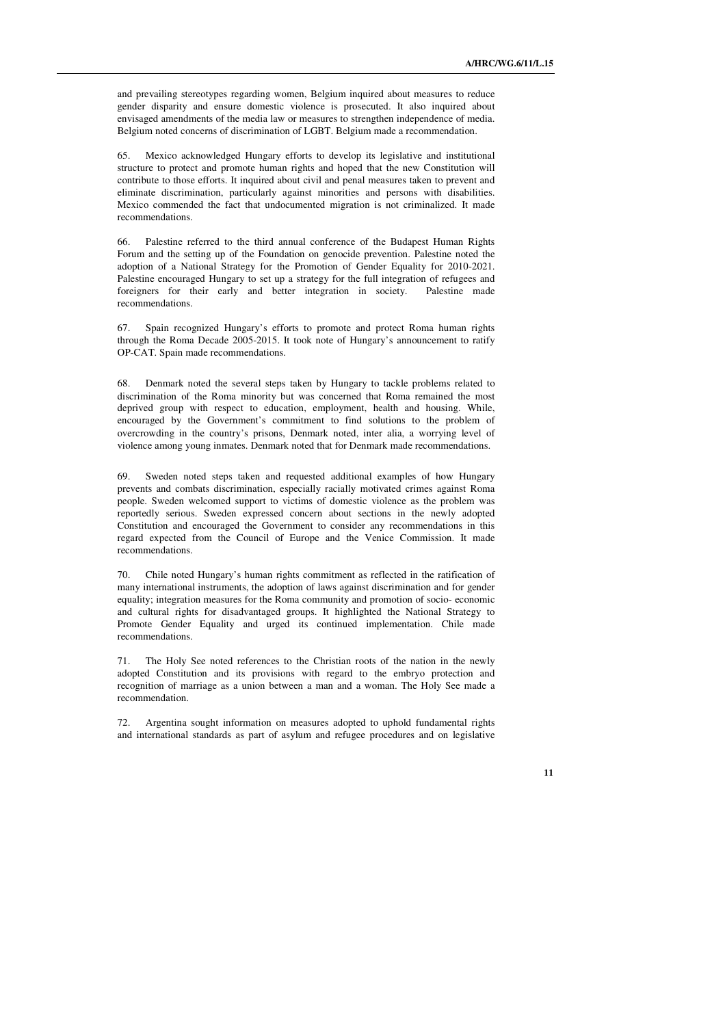and prevailing stereotypes regarding women, Belgium inquired about measures to reduce gender disparity and ensure domestic violence is prosecuted. It also inquired about envisaged amendments of the media law or measures to strengthen independence of media. Belgium noted concerns of discrimination of LGBT. Belgium made a recommendation.

Mexico acknowledged Hungary efforts to develop its legislative and institutional structure to protect and promote human rights and hoped that the new Constitution will contribute to those efforts. It inquired about civil and penal measures taken to prevent and eliminate discrimination, particularly against minorities and persons with disabilities. Mexico commended the fact that undocumented migration is not criminalized. It made recommendations.

66. Palestine referred to the third annual conference of the Budapest Human Rights Forum and the setting up of the Foundation on genocide prevention. Palestine noted the adoption of a National Strategy for the Promotion of Gender Equality for 2010-2021. Palestine encouraged Hungary to set up a strategy for the full integration of refugees and foreigners for their early and better integration in society. Palestine made recommendations.

Spain recognized Hungary's efforts to promote and protect Roma human rights through the Roma Decade 2005-2015. It took note of Hungary's announcement to ratify OP-CAT. Spain made recommendations.

68. Denmark noted the several steps taken by Hungary to tackle problems related to discrimination of the Roma minority but was concerned that Roma remained the most deprived group with respect to education, employment, health and housing. While, encouraged by the Government's commitment to find solutions to the problem of overcrowding in the country's prisons, Denmark noted, inter alia, a worrying level of violence among young inmates. Denmark noted that for Denmark made recommendations.

69. Sweden noted steps taken and requested additional examples of how Hungary prevents and combats discrimination, especially racially motivated crimes against Roma people. Sweden welcomed support to victims of domestic violence as the problem was reportedly serious. Sweden expressed concern about sections in the newly adopted Constitution and encouraged the Government to consider any recommendations in this regard expected from the Council of Europe and the Venice Commission. It made recommendations.

70. Chile noted Hungary's human rights commitment as reflected in the ratification of many international instruments, the adoption of laws against discrimination and for gender equality; integration measures for the Roma community and promotion of socio- economic and cultural rights for disadvantaged groups. It highlighted the National Strategy to Promote Gender Equality and urged its continued implementation. Chile made recommendations.

71. The Holy See noted references to the Christian roots of the nation in the newly adopted Constitution and its provisions with regard to the embryo protection and recognition of marriage as a union between a man and a woman. The Holy See made a recommendation.

72. Argentina sought information on measures adopted to uphold fundamental rights and international standards as part of asylum and refugee procedures and on legislative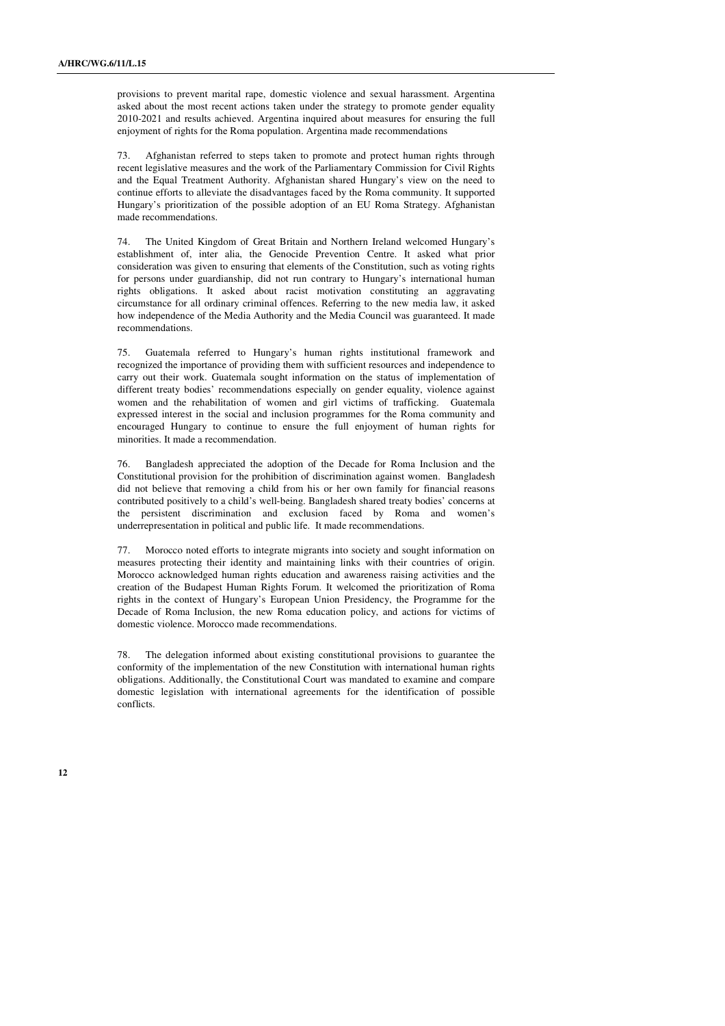provisions to prevent marital rape, domestic violence and sexual harassment. Argentina asked about the most recent actions taken under the strategy to promote gender equality 2010-2021 and results achieved. Argentina inquired about measures for ensuring the full enjoyment of rights for the Roma population. Argentina made recommendations

73. Afghanistan referred to steps taken to promote and protect human rights through recent legislative measures and the work of the Parliamentary Commission for Civil Rights and the Equal Treatment Authority. Afghanistan shared Hungary's view on the need to continue efforts to alleviate the disadvantages faced by the Roma community. It supported Hungary's prioritization of the possible adoption of an EU Roma Strategy. Afghanistan made recommendations.

74. The United Kingdom of Great Britain and Northern Ireland welcomed Hungary's establishment of, inter alia, the Genocide Prevention Centre. It asked what prior consideration was given to ensuring that elements of the Constitution, such as voting rights for persons under guardianship, did not run contrary to Hungary's international human rights obligations. It asked about racist motivation constituting an aggravating circumstance for all ordinary criminal offences. Referring to the new media law, it asked how independence of the Media Authority and the Media Council was guaranteed. It made recommendations.

75. Guatemala referred to Hungary's human rights institutional framework and recognized the importance of providing them with sufficient resources and independence to carry out their work. Guatemala sought information on the status of implementation of different treaty bodies' recommendations especially on gender equality, violence against women and the rehabilitation of women and girl victims of trafficking. Guatemala expressed interest in the social and inclusion programmes for the Roma community and encouraged Hungary to continue to ensure the full enjoyment of human rights for minorities. It made a recommendation.

76. Bangladesh appreciated the adoption of the Decade for Roma Inclusion and the Constitutional provision for the prohibition of discrimination against women. Bangladesh did not believe that removing a child from his or her own family for financial reasons contributed positively to a child's well-being. Bangladesh shared treaty bodies' concerns at the persistent discrimination and exclusion faced by Roma and women's underrepresentation in political and public life. It made recommendations.

77. Morocco noted efforts to integrate migrants into society and sought information on measures protecting their identity and maintaining links with their countries of origin. Morocco acknowledged human rights education and awareness raising activities and the creation of the Budapest Human Rights Forum. It welcomed the prioritization of Roma rights in the context of Hungary's European Union Presidency, the Programme for the Decade of Roma Inclusion, the new Roma education policy, and actions for victims of domestic violence. Morocco made recommendations.

78. The delegation informed about existing constitutional provisions to guarantee the conformity of the implementation of the new Constitution with international human rights obligations. Additionally, the Constitutional Court was mandated to examine and compare domestic legislation with international agreements for the identification of possible conflicts.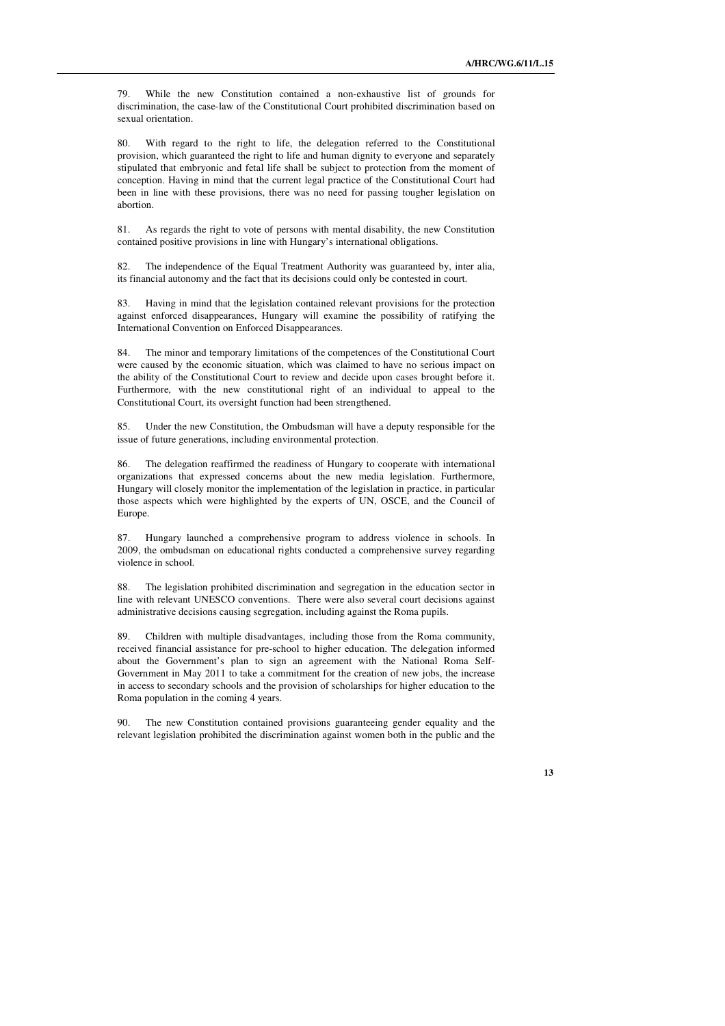79. While the new Constitution contained a non-exhaustive list of grounds for discrimination, the case-law of the Constitutional Court prohibited discrimination based on sexual orientation.

80. With regard to the right to life, the delegation referred to the Constitutional provision, which guaranteed the right to life and human dignity to everyone and separately stipulated that embryonic and fetal life shall be subject to protection from the moment of conception. Having in mind that the current legal practice of the Constitutional Court had been in line with these provisions, there was no need for passing tougher legislation on abortion.

81. As regards the right to vote of persons with mental disability, the new Constitution contained positive provisions in line with Hungary's international obligations.

The independence of the Equal Treatment Authority was guaranteed by, inter alia, its financial autonomy and the fact that its decisions could only be contested in court.

83. Having in mind that the legislation contained relevant provisions for the protection against enforced disappearances, Hungary will examine the possibility of ratifying the International Convention on Enforced Disappearances.

84. The minor and temporary limitations of the competences of the Constitutional Court were caused by the economic situation, which was claimed to have no serious impact on the ability of the Constitutional Court to review and decide upon cases brought before it. Furthermore, with the new constitutional right of an individual to appeal to the Constitutional Court, its oversight function had been strengthened.

85. Under the new Constitution, the Ombudsman will have a deputy responsible for the issue of future generations, including environmental protection.

86. The delegation reaffirmed the readiness of Hungary to cooperate with international organizations that expressed concerns about the new media legislation. Furthermore, Hungary will closely monitor the implementation of the legislation in practice, in particular those aspects which were highlighted by the experts of UN, OSCE, and the Council of Europe.

87. Hungary launched a comprehensive program to address violence in schools. In 2009, the ombudsman on educational rights conducted a comprehensive survey regarding violence in school.

88. The legislation prohibited discrimination and segregation in the education sector in line with relevant UNESCO conventions. There were also several court decisions against administrative decisions causing segregation, including against the Roma pupils.

89. Children with multiple disadvantages, including those from the Roma community, received financial assistance for pre-school to higher education. The delegation informed about the Government's plan to sign an agreement with the National Roma Self-Government in May 2011 to take a commitment for the creation of new jobs, the increase in access to secondary schools and the provision of scholarships for higher education to the Roma population in the coming 4 years.

90. The new Constitution contained provisions guaranteeing gender equality and the relevant legislation prohibited the discrimination against women both in the public and the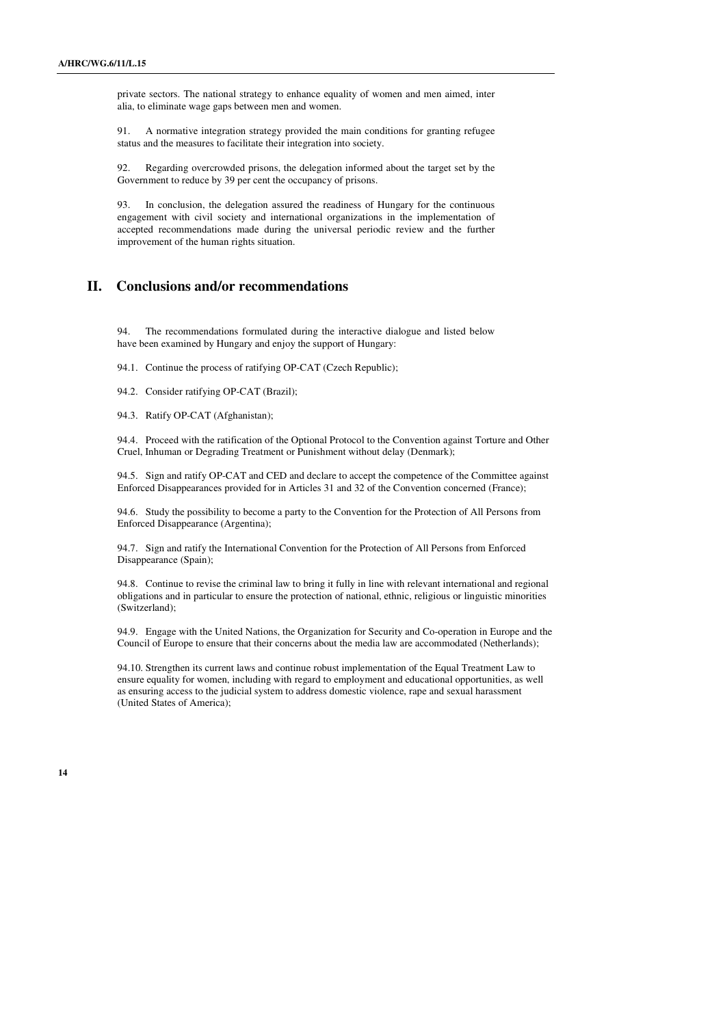private sectors. The national strategy to enhance equality of women and men aimed, inter alia, to eliminate wage gaps between men and women.

91. A normative integration strategy provided the main conditions for granting refugee status and the measures to facilitate their integration into society.

92. Regarding overcrowded prisons, the delegation informed about the target set by the Government to reduce by 39 per cent the occupancy of prisons.

93. In conclusion, the delegation assured the readiness of Hungary for the continuous engagement with civil society and international organizations in the implementation of accepted recommendations made during the universal periodic review and the further improvement of the human rights situation.

## **II. Conclusions and/or recommendations**

94. The recommendations formulated during the interactive dialogue and listed below have been examined by Hungary and enjoy the support of Hungary:

94.1. Continue the process of ratifying OP-CAT (Czech Republic);

94.2. Consider ratifying OP-CAT (Brazil);

94.3. Ratify OP-CAT (Afghanistan);

94.4. Proceed with the ratification of the Optional Protocol to the Convention against Torture and Other Cruel, Inhuman or Degrading Treatment or Punishment without delay (Denmark);

94.5. Sign and ratify OP-CAT and CED and declare to accept the competence of the Committee against Enforced Disappearances provided for in Articles 31 and 32 of the Convention concerned (France);

94.6. Study the possibility to become a party to the Convention for the Protection of All Persons from Enforced Disappearance (Argentina);

94.7. Sign and ratify the International Convention for the Protection of All Persons from Enforced Disappearance (Spain);

94.8. Continue to revise the criminal law to bring it fully in line with relevant international and regional obligations and in particular to ensure the protection of national, ethnic, religious or linguistic minorities (Switzerland);

94.9. Engage with the United Nations, the Organization for Security and Co-operation in Europe and the Council of Europe to ensure that their concerns about the media law are accommodated (Netherlands);

94.10. Strengthen its current laws and continue robust implementation of the Equal Treatment Law to ensure equality for women, including with regard to employment and educational opportunities, as well as ensuring access to the judicial system to address domestic violence, rape and sexual harassment (United States of America);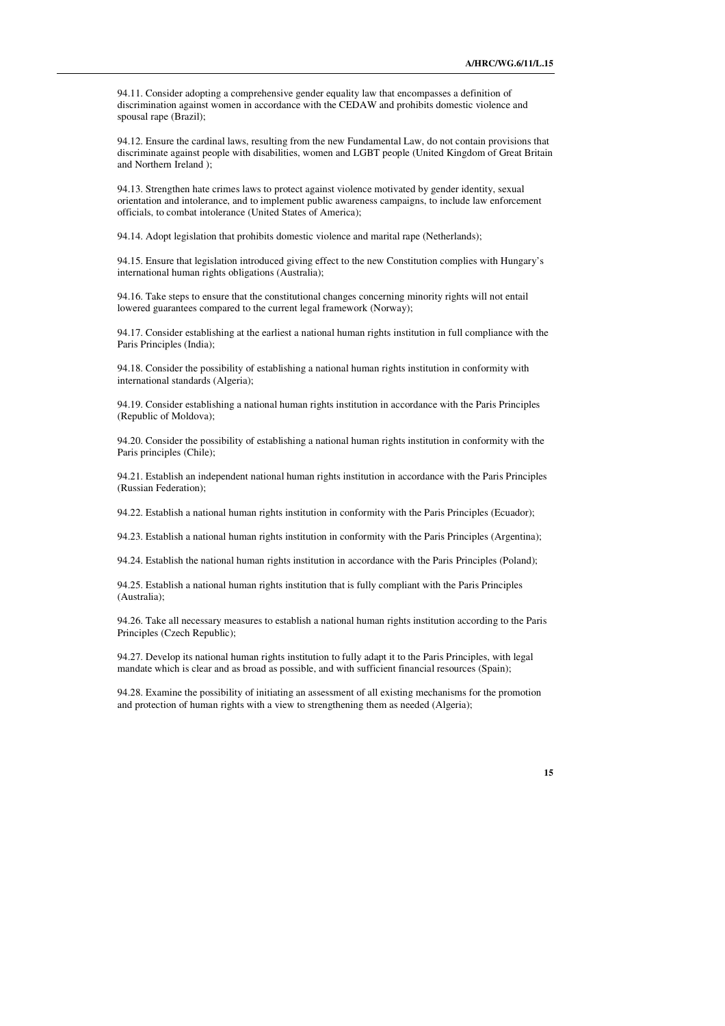94.11. Consider adopting a comprehensive gender equality law that encompasses a definition of discrimination against women in accordance with the CEDAW and prohibits domestic violence and spousal rape (Brazil);

94.12. Ensure the cardinal laws, resulting from the new Fundamental Law, do not contain provisions that discriminate against people with disabilities, women and LGBT people (United Kingdom of Great Britain and Northern Ireland );

94.13. Strengthen hate crimes laws to protect against violence motivated by gender identity, sexual orientation and intolerance, and to implement public awareness campaigns, to include law enforcement officials, to combat intolerance (United States of America);

94.14. Adopt legislation that prohibits domestic violence and marital rape (Netherlands);

94.15. Ensure that legislation introduced giving effect to the new Constitution complies with Hungary's international human rights obligations (Australia);

94.16. Take steps to ensure that the constitutional changes concerning minority rights will not entail lowered guarantees compared to the current legal framework (Norway);

94.17. Consider establishing at the earliest a national human rights institution in full compliance with the Paris Principles (India);

94.18. Consider the possibility of establishing a national human rights institution in conformity with international standards (Algeria);

94.19. Consider establishing a national human rights institution in accordance with the Paris Principles (Republic of Moldova);

94.20. Consider the possibility of establishing a national human rights institution in conformity with the Paris principles (Chile);

94.21. Establish an independent national human rights institution in accordance with the Paris Principles (Russian Federation);

94.22. Establish a national human rights institution in conformity with the Paris Principles (Ecuador);

94.23. Establish a national human rights institution in conformity with the Paris Principles (Argentina);

94.24. Establish the national human rights institution in accordance with the Paris Principles (Poland);

94.25. Establish a national human rights institution that is fully compliant with the Paris Principles (Australia);

94.26. Take all necessary measures to establish a national human rights institution according to the Paris Principles (Czech Republic);

94.27. Develop its national human rights institution to fully adapt it to the Paris Principles, with legal mandate which is clear and as broad as possible, and with sufficient financial resources (Spain);

94.28. Examine the possibility of initiating an assessment of all existing mechanisms for the promotion and protection of human rights with a view to strengthening them as needed (Algeria);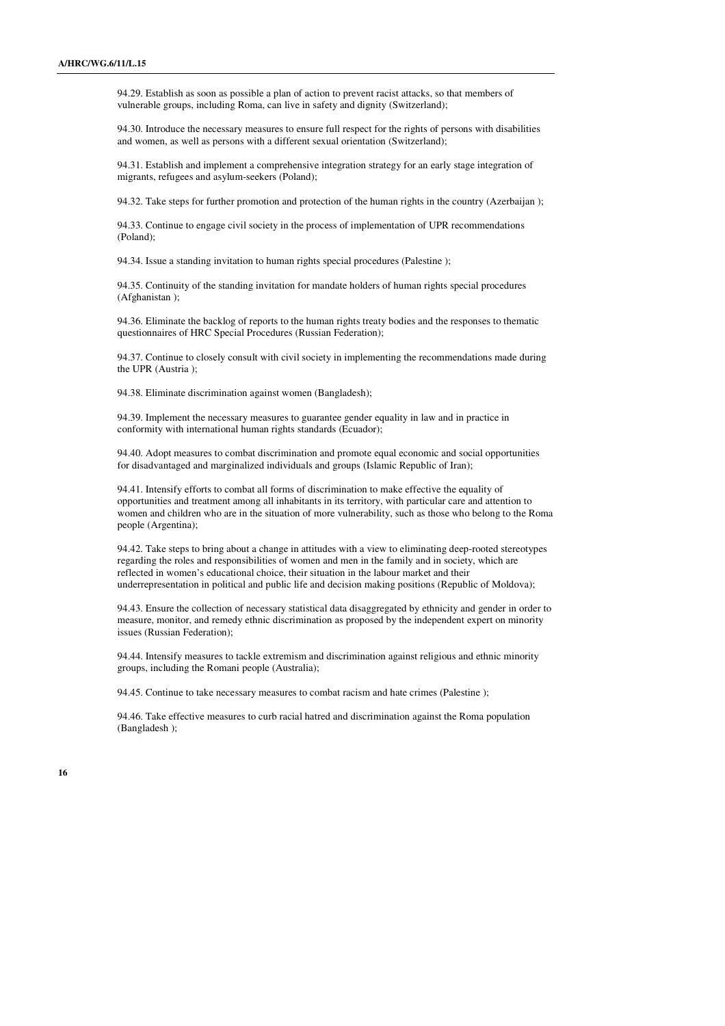94.29. Establish as soon as possible a plan of action to prevent racist attacks, so that members of vulnerable groups, including Roma, can live in safety and dignity (Switzerland);

94.30. Introduce the necessary measures to ensure full respect for the rights of persons with disabilities and women, as well as persons with a different sexual orientation (Switzerland);

94.31. Establish and implement a comprehensive integration strategy for an early stage integration of migrants, refugees and asylum-seekers (Poland);

94.32. Take steps for further promotion and protection of the human rights in the country (Azerbaijan );

94.33. Continue to engage civil society in the process of implementation of UPR recommendations (Poland);

94.34. Issue a standing invitation to human rights special procedures (Palestine );

94.35. Continuity of the standing invitation for mandate holders of human rights special procedures (Afghanistan );

94.36. Eliminate the backlog of reports to the human rights treaty bodies and the responses to thematic questionnaires of HRC Special Procedures (Russian Federation);

94.37. Continue to closely consult with civil society in implementing the recommendations made during the UPR (Austria );

94.38. Eliminate discrimination against women (Bangladesh);

94.39. Implement the necessary measures to guarantee gender equality in law and in practice in conformity with international human rights standards (Ecuador);

94.40. Adopt measures to combat discrimination and promote equal economic and social opportunities for disadvantaged and marginalized individuals and groups (Islamic Republic of Iran);

94.41. Intensify efforts to combat all forms of discrimination to make effective the equality of opportunities and treatment among all inhabitants in its territory, with particular care and attention to women and children who are in the situation of more vulnerability, such as those who belong to the Roma people (Argentina);

94.42. Take steps to bring about a change in attitudes with a view to eliminating deep-rooted stereotypes regarding the roles and responsibilities of women and men in the family and in society, which are reflected in women's educational choice, their situation in the labour market and their underrepresentation in political and public life and decision making positions (Republic of Moldova);

94.43. Ensure the collection of necessary statistical data disaggregated by ethnicity and gender in order to measure, monitor, and remedy ethnic discrimination as proposed by the independent expert on minority issues (Russian Federation);

94.44. Intensify measures to tackle extremism and discrimination against religious and ethnic minority groups, including the Romani people (Australia);

94.45. Continue to take necessary measures to combat racism and hate crimes (Palestine );

94.46. Take effective measures to curb racial hatred and discrimination against the Roma population (Bangladesh );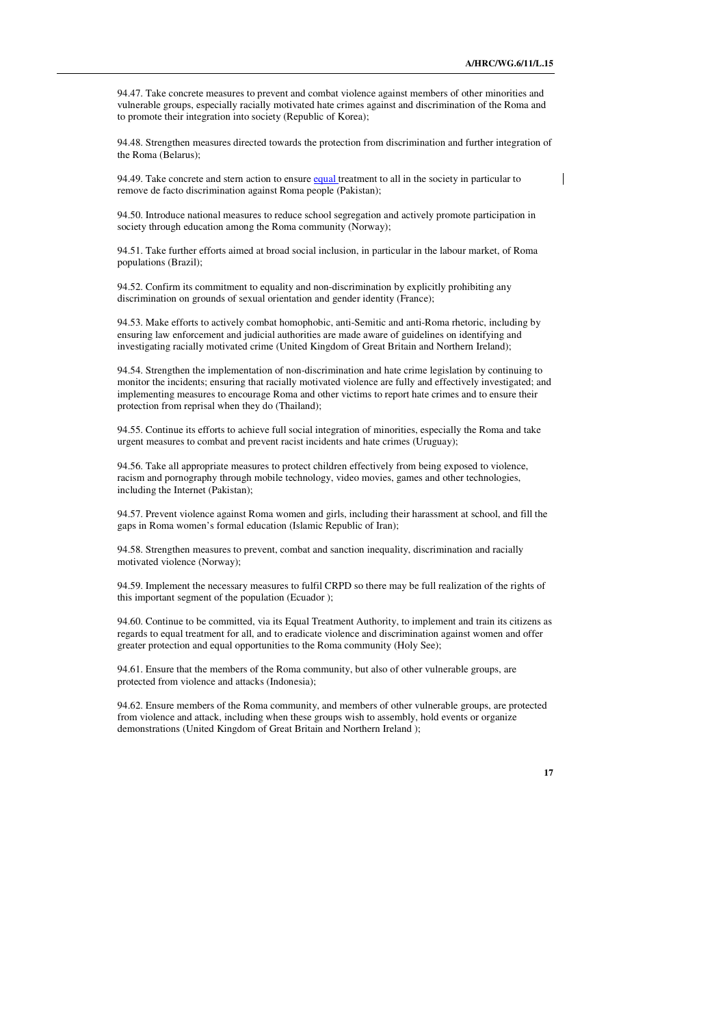94.47. Take concrete measures to prevent and combat violence against members of other minorities and vulnerable groups, especially racially motivated hate crimes against and discrimination of the Roma and to promote their integration into society (Republic of Korea);

94.48. Strengthen measures directed towards the protection from discrimination and further integration of the Roma (Belarus);

94.49. Take concrete and stern action to ensure equal treatment to all in the society in particular to remove de facto discrimination against Roma people (Pakistan);

94.50. Introduce national measures to reduce school segregation and actively promote participation in society through education among the Roma community (Norway);

94.51. Take further efforts aimed at broad social inclusion, in particular in the labour market, of Roma populations (Brazil);

94.52. Confirm its commitment to equality and non-discrimination by explicitly prohibiting any discrimination on grounds of sexual orientation and gender identity (France);

94.53. Make efforts to actively combat homophobic, anti-Semitic and anti-Roma rhetoric, including by ensuring law enforcement and judicial authorities are made aware of guidelines on identifying and investigating racially motivated crime (United Kingdom of Great Britain and Northern Ireland);

94.54. Strengthen the implementation of non-discrimination and hate crime legislation by continuing to monitor the incidents; ensuring that racially motivated violence are fully and effectively investigated; and implementing measures to encourage Roma and other victims to report hate crimes and to ensure their protection from reprisal when they do (Thailand);

94.55. Continue its efforts to achieve full social integration of minorities, especially the Roma and take urgent measures to combat and prevent racist incidents and hate crimes (Uruguay);

94.56. Take all appropriate measures to protect children effectively from being exposed to violence, racism and pornography through mobile technology, video movies, games and other technologies, including the Internet (Pakistan);

94.57. Prevent violence against Roma women and girls, including their harassment at school, and fill the gaps in Roma women's formal education (Islamic Republic of Iran);

94.58. Strengthen measures to prevent, combat and sanction inequality, discrimination and racially motivated violence (Norway);

94.59. Implement the necessary measures to fulfil CRPD so there may be full realization of the rights of this important segment of the population (Ecuador );

94.60. Continue to be committed, via its Equal Treatment Authority, to implement and train its citizens as regards to equal treatment for all, and to eradicate violence and discrimination against women and offer greater protection and equal opportunities to the Roma community (Holy See);

94.61. Ensure that the members of the Roma community, but also of other vulnerable groups, are protected from violence and attacks (Indonesia);

94.62. Ensure members of the Roma community, and members of other vulnerable groups, are protected from violence and attack, including when these groups wish to assembly, hold events or organize demonstrations (United Kingdom of Great Britain and Northern Ireland );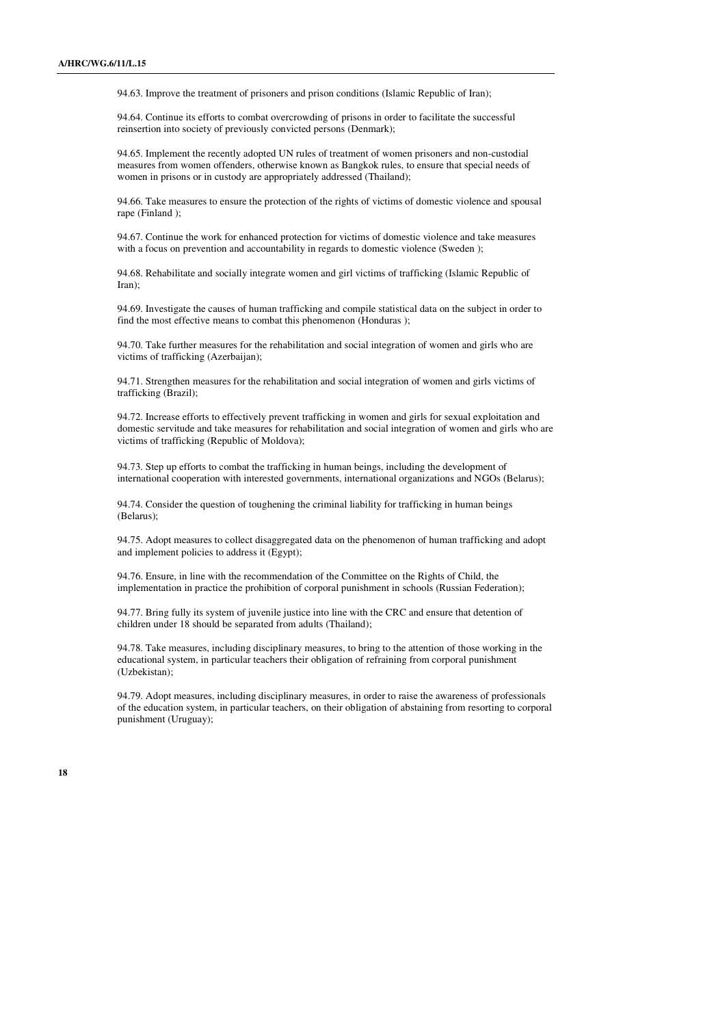94.63. Improve the treatment of prisoners and prison conditions (Islamic Republic of Iran);

94.64. Continue its efforts to combat overcrowding of prisons in order to facilitate the successful reinsertion into society of previously convicted persons (Denmark);

94.65. Implement the recently adopted UN rules of treatment of women prisoners and non-custodial measures from women offenders, otherwise known as Bangkok rules, to ensure that special needs of women in prisons or in custody are appropriately addressed (Thailand);

94.66. Take measures to ensure the protection of the rights of victims of domestic violence and spousal rape (Finland );

94.67. Continue the work for enhanced protection for victims of domestic violence and take measures with a focus on prevention and accountability in regards to domestic violence (Sweden );

94.68. Rehabilitate and socially integrate women and girl victims of trafficking (Islamic Republic of Iran);

94.69. Investigate the causes of human trafficking and compile statistical data on the subject in order to find the most effective means to combat this phenomenon (Honduras );

94.70. Take further measures for the rehabilitation and social integration of women and girls who are victims of trafficking (Azerbaijan);

94.71. Strengthen measures for the rehabilitation and social integration of women and girls victims of trafficking (Brazil);

94.72. Increase efforts to effectively prevent trafficking in women and girls for sexual exploitation and domestic servitude and take measures for rehabilitation and social integration of women and girls who are victims of trafficking (Republic of Moldova);

94.73. Step up efforts to combat the trafficking in human beings, including the development of international cooperation with interested governments, international organizations and NGOs (Belarus);

94.74. Consider the question of toughening the criminal liability for trafficking in human beings (Belarus);

94.75. Adopt measures to collect disaggregated data on the phenomenon of human trafficking and adopt and implement policies to address it (Egypt);

94.76. Ensure, in line with the recommendation of the Committee on the Rights of Child, the implementation in practice the prohibition of corporal punishment in schools (Russian Federation);

94.77. Bring fully its system of juvenile justice into line with the CRC and ensure that detention of children under 18 should be separated from adults (Thailand);

94.78. Take measures, including disciplinary measures, to bring to the attention of those working in the educational system, in particular teachers their obligation of refraining from corporal punishment (Uzbekistan);

94.79. Adopt measures, including disciplinary measures, in order to raise the awareness of professionals of the education system, in particular teachers, on their obligation of abstaining from resorting to corporal punishment (Uruguay);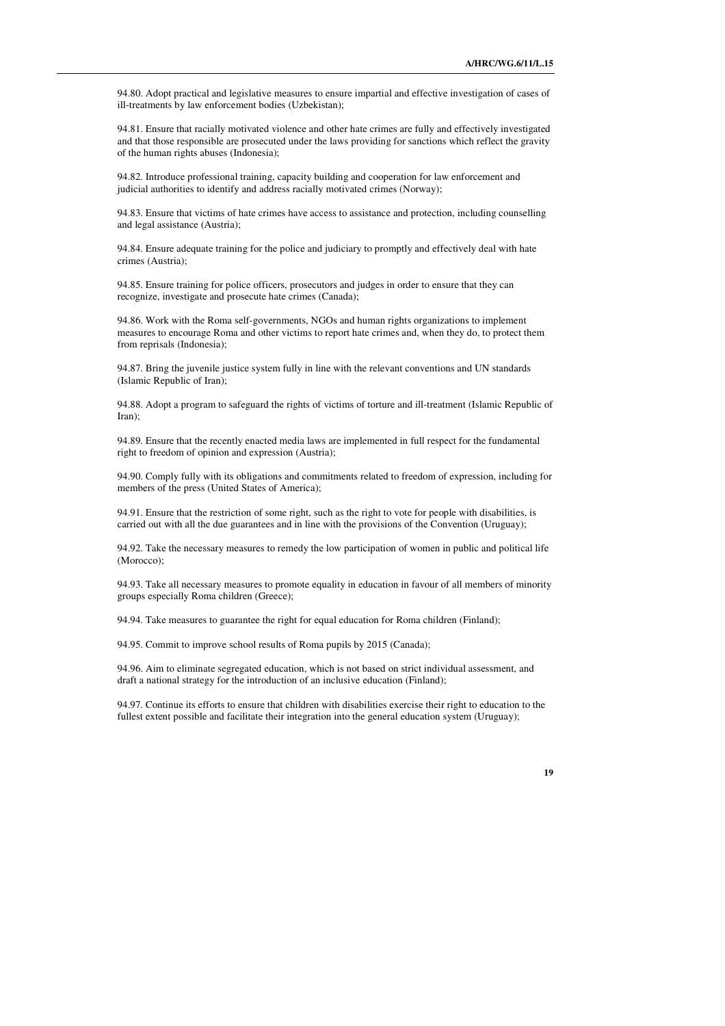94.80. Adopt practical and legislative measures to ensure impartial and effective investigation of cases of ill-treatments by law enforcement bodies (Uzbekistan);

94.81. Ensure that racially motivated violence and other hate crimes are fully and effectively investigated and that those responsible are prosecuted under the laws providing for sanctions which reflect the gravity of the human rights abuses (Indonesia);

94.82. Introduce professional training, capacity building and cooperation for law enforcement and judicial authorities to identify and address racially motivated crimes (Norway);

94.83. Ensure that victims of hate crimes have access to assistance and protection, including counselling and legal assistance (Austria);

94.84. Ensure adequate training for the police and judiciary to promptly and effectively deal with hate crimes (Austria);

94.85. Ensure training for police officers, prosecutors and judges in order to ensure that they can recognize, investigate and prosecute hate crimes (Canada);

94.86. Work with the Roma self-governments, NGOs and human rights organizations to implement measures to encourage Roma and other victims to report hate crimes and, when they do, to protect them from reprisals (Indonesia);

94.87. Bring the juvenile justice system fully in line with the relevant conventions and UN standards (Islamic Republic of Iran);

94.88. Adopt a program to safeguard the rights of victims of torture and ill-treatment (Islamic Republic of Iran);

94.89. Ensure that the recently enacted media laws are implemented in full respect for the fundamental right to freedom of opinion and expression (Austria);

94.90. Comply fully with its obligations and commitments related to freedom of expression, including for members of the press (United States of America);

94.91. Ensure that the restriction of some right, such as the right to vote for people with disabilities, is carried out with all the due guarantees and in line with the provisions of the Convention (Uruguay);

94.92. Take the necessary measures to remedy the low participation of women in public and political life (Morocco);

94.93. Take all necessary measures to promote equality in education in favour of all members of minority groups especially Roma children (Greece);

94.94. Take measures to guarantee the right for equal education for Roma children (Finland);

94.95. Commit to improve school results of Roma pupils by 2015 (Canada);

94.96. Aim to eliminate segregated education, which is not based on strict individual assessment, and draft a national strategy for the introduction of an inclusive education (Finland);

94.97. Continue its efforts to ensure that children with disabilities exercise their right to education to the fullest extent possible and facilitate their integration into the general education system (Uruguay);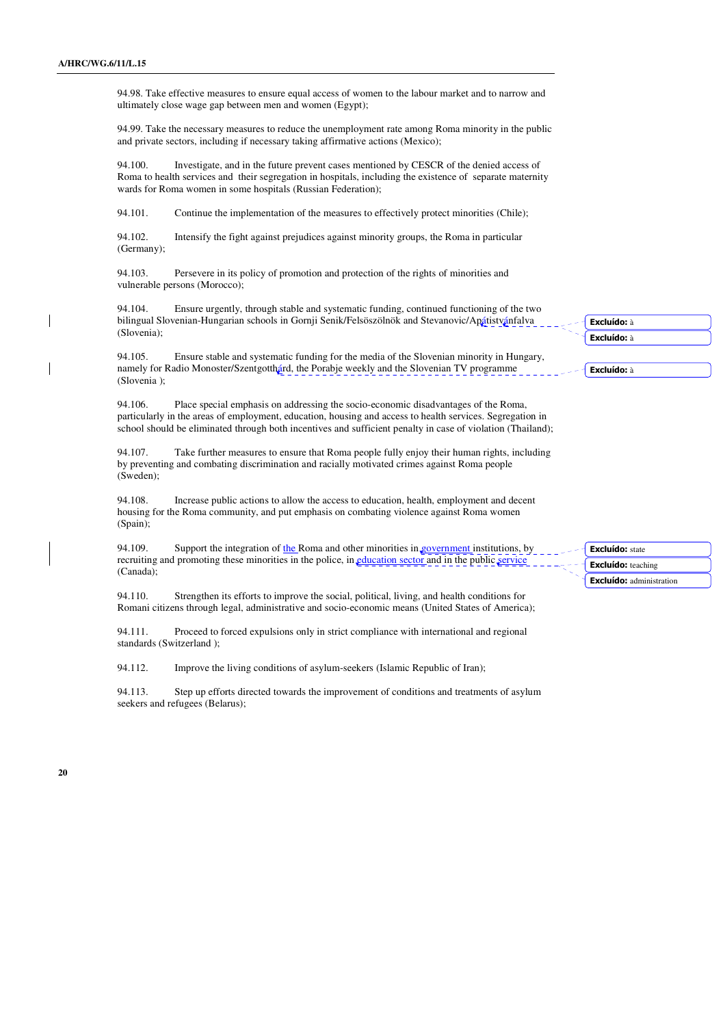94.98. Take effective measures to ensure equal access of women to the labour market and to narrow and ultimately close wage gap between men and women (Egypt);

94.99. Take the necessary measures to reduce the unemployment rate among Roma minority in the public and private sectors, including if necessary taking affirmative actions (Mexico);

94.100. Investigate, and in the future prevent cases mentioned by CESCR of the denied access of Roma to health services and their segregation in hospitals, including the existence of separate maternity wards for Roma women in some hospitals (Russian Federation);

94.101. Continue the implementation of the measures to effectively protect minorities (Chile);

94.102. Intensify the fight against prejudices against minority groups, the Roma in particular (Germany);

94.103. Persevere in its policy of promotion and protection of the rights of minorities and vulnerable persons (Morocco);

94.104. Ensure urgently, through stable and systematic funding, continued functioning of the two bilingual Slovenian-Hungarian schools in Gornji Senik/Felsöszölnök and Stevanovic/Apátistvánfalva (Slovenia);

94.105. Ensure stable and systematic funding for the media of the Slovenian minority in Hungary, namely for Radio Monoster/Szentgotthárd, the Porabje weekly and the Slovenian TV programme (Slovenia );

94.106. Place special emphasis on addressing the socio-economic disadvantages of the Roma, particularly in the areas of employment, education, housing and access to health services. Segregation in school should be eliminated through both incentives and sufficient penalty in case of violation (Thailand);

94.107. Take further measures to ensure that Roma people fully enjoy their human rights, including by preventing and combating discrimination and racially motivated crimes against Roma people (Sweden);

94.108. Increase public actions to allow the access to education, health, employment and decent housing for the Roma community, and put emphasis on combating violence against Roma women (Spain);

94.109. Support the integration of the Roma and other minorities in government institutions, by recruiting and promoting these minorities in the police, in education sector and in the public service (Canada);

94.110. Strengthen its efforts to improve the social, political, living, and health conditions for Romani citizens through legal, administrative and socio-economic means (United States of America);

94.111. Proceed to forced expulsions only in strict compliance with international and regional standards (Switzerland );

94.112. Improve the living conditions of asylum-seekers (Islamic Republic of Iran);

94.113. Step up efforts directed towards the improvement of conditions and treatments of asylum seekers and refugees (Belarus);

Excluído: state Excluído: teaching Excluído: administration

Excluído: à Excluído: à

Excluído: à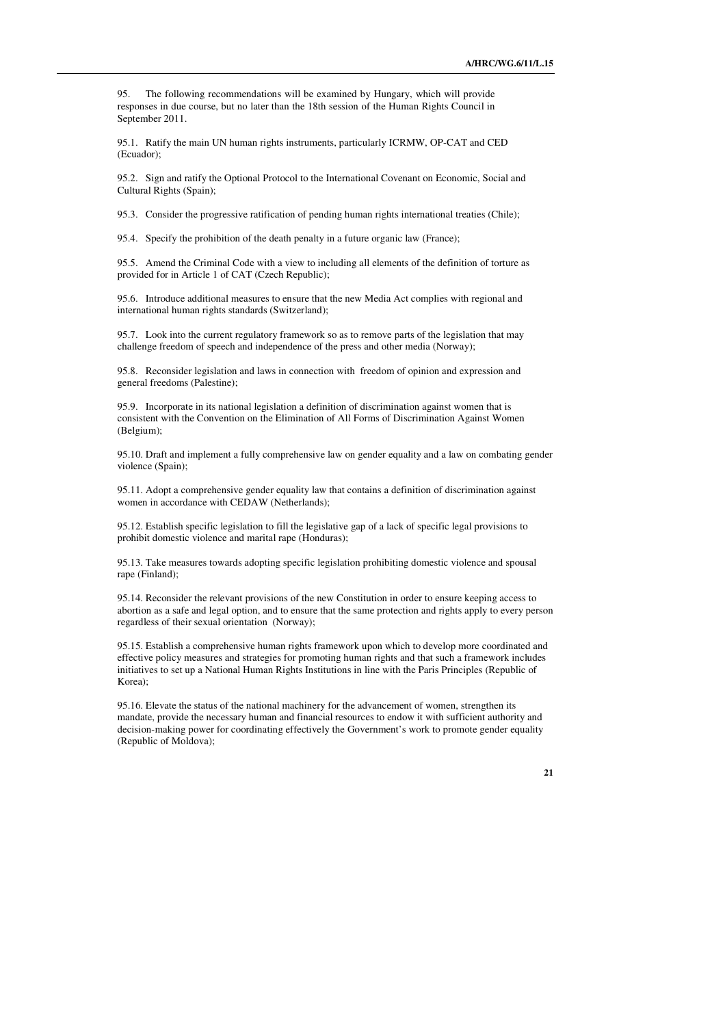95. The following recommendations will be examined by Hungary, which will provide responses in due course, but no later than the 18th session of the Human Rights Council in September 2011.

95.1. Ratify the main UN human rights instruments, particularly ICRMW, OP-CAT and CED (Ecuador);

95.2. Sign and ratify the Optional Protocol to the International Covenant on Economic, Social and Cultural Rights (Spain);

95.3. Consider the progressive ratification of pending human rights international treaties (Chile);

95.4. Specify the prohibition of the death penalty in a future organic law (France);

95.5. Amend the Criminal Code with a view to including all elements of the definition of torture as provided for in Article 1 of CAT (Czech Republic);

95.6. Introduce additional measures to ensure that the new Media Act complies with regional and international human rights standards (Switzerland);

95.7. Look into the current regulatory framework so as to remove parts of the legislation that may challenge freedom of speech and independence of the press and other media (Norway);

95.8. Reconsider legislation and laws in connection with freedom of opinion and expression and general freedoms (Palestine);

95.9. Incorporate in its national legislation a definition of discrimination against women that is consistent with the Convention on the Elimination of All Forms of Discrimination Against Women (Belgium);

95.10. Draft and implement a fully comprehensive law on gender equality and a law on combating gender violence (Spain);

95.11. Adopt a comprehensive gender equality law that contains a definition of discrimination against women in accordance with CEDAW (Netherlands);

95.12. Establish specific legislation to fill the legislative gap of a lack of specific legal provisions to prohibit domestic violence and marital rape (Honduras);

95.13. Take measures towards adopting specific legislation prohibiting domestic violence and spousal rape (Finland);

95.14. Reconsider the relevant provisions of the new Constitution in order to ensure keeping access to abortion as a safe and legal option, and to ensure that the same protection and rights apply to every person regardless of their sexual orientation (Norway);

95.15. Establish a comprehensive human rights framework upon which to develop more coordinated and effective policy measures and strategies for promoting human rights and that such a framework includes initiatives to set up a National Human Rights Institutions in line with the Paris Principles (Republic of Korea);

95.16. Elevate the status of the national machinery for the advancement of women, strengthen its mandate, provide the necessary human and financial resources to endow it with sufficient authority and decision-making power for coordinating effectively the Government's work to promote gender equality (Republic of Moldova);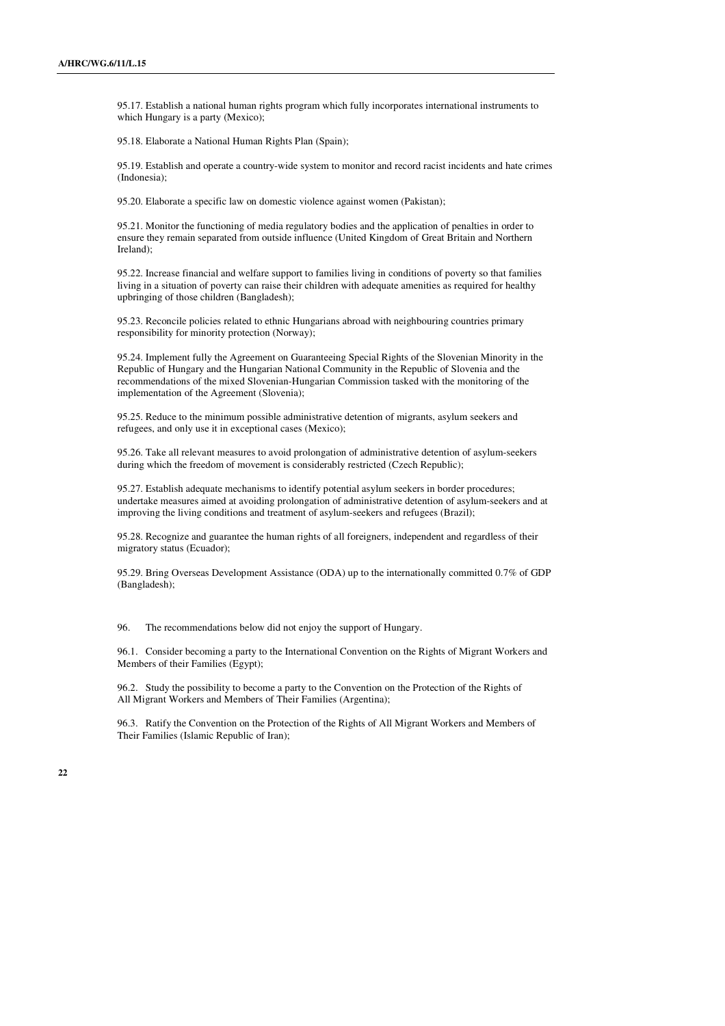95.17. Establish a national human rights program which fully incorporates international instruments to which Hungary is a party (Mexico);

95.18. Elaborate a National Human Rights Plan (Spain);

95.19. Establish and operate a country-wide system to monitor and record racist incidents and hate crimes (Indonesia);

95.20. Elaborate a specific law on domestic violence against women (Pakistan);

95.21. Monitor the functioning of media regulatory bodies and the application of penalties in order to ensure they remain separated from outside influence (United Kingdom of Great Britain and Northern Ireland);

95.22. Increase financial and welfare support to families living in conditions of poverty so that families living in a situation of poverty can raise their children with adequate amenities as required for healthy upbringing of those children (Bangladesh);

95.23. Reconcile policies related to ethnic Hungarians abroad with neighbouring countries primary responsibility for minority protection (Norway);

95.24. Implement fully the Agreement on Guaranteeing Special Rights of the Slovenian Minority in the Republic of Hungary and the Hungarian National Community in the Republic of Slovenia and the recommendations of the mixed Slovenian-Hungarian Commission tasked with the monitoring of the implementation of the Agreement (Slovenia);

95.25. Reduce to the minimum possible administrative detention of migrants, asylum seekers and refugees, and only use it in exceptional cases (Mexico);

95.26. Take all relevant measures to avoid prolongation of administrative detention of asylum-seekers during which the freedom of movement is considerably restricted (Czech Republic);

95.27. Establish adequate mechanisms to identify potential asylum seekers in border procedures; undertake measures aimed at avoiding prolongation of administrative detention of asylum-seekers and at improving the living conditions and treatment of asylum-seekers and refugees (Brazil);

95.28. Recognize and guarantee the human rights of all foreigners, independent and regardless of their migratory status (Ecuador);

95.29. Bring Overseas Development Assistance (ODA) up to the internationally committed 0.7% of GDP (Bangladesh);

96. The recommendations below did not enjoy the support of Hungary.

96.1. Consider becoming a party to the International Convention on the Rights of Migrant Workers and Members of their Families (Egypt);

96.2. Study the possibility to become a party to the Convention on the Protection of the Rights of All Migrant Workers and Members of Their Families (Argentina);

96.3. Ratify the Convention on the Protection of the Rights of All Migrant Workers and Members of Their Families (Islamic Republic of Iran);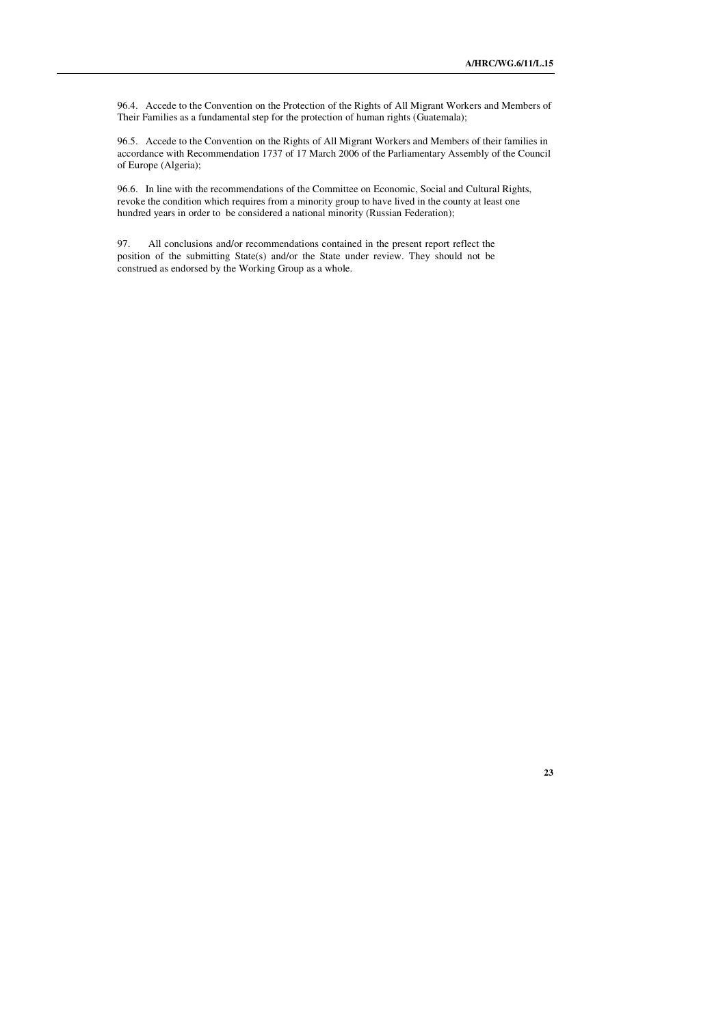96.4. Accede to the Convention on the Protection of the Rights of All Migrant Workers and Members of Their Families as a fundamental step for the protection of human rights (Guatemala);

96.5. Accede to the Convention on the Rights of All Migrant Workers and Members of their families in accordance with Recommendation 1737 of 17 March 2006 of the Parliamentary Assembly of the Council of Europe (Algeria);

96.6. In line with the recommendations of the Committee on Economic, Social and Cultural Rights, revoke the condition which requires from a minority group to have lived in the county at least one hundred years in order to be considered a national minority (Russian Federation);

97. All conclusions and/or recommendations contained in the present report reflect the position of the submitting State(s) and/or the State under review. They should not be construed as endorsed by the Working Group as a whole.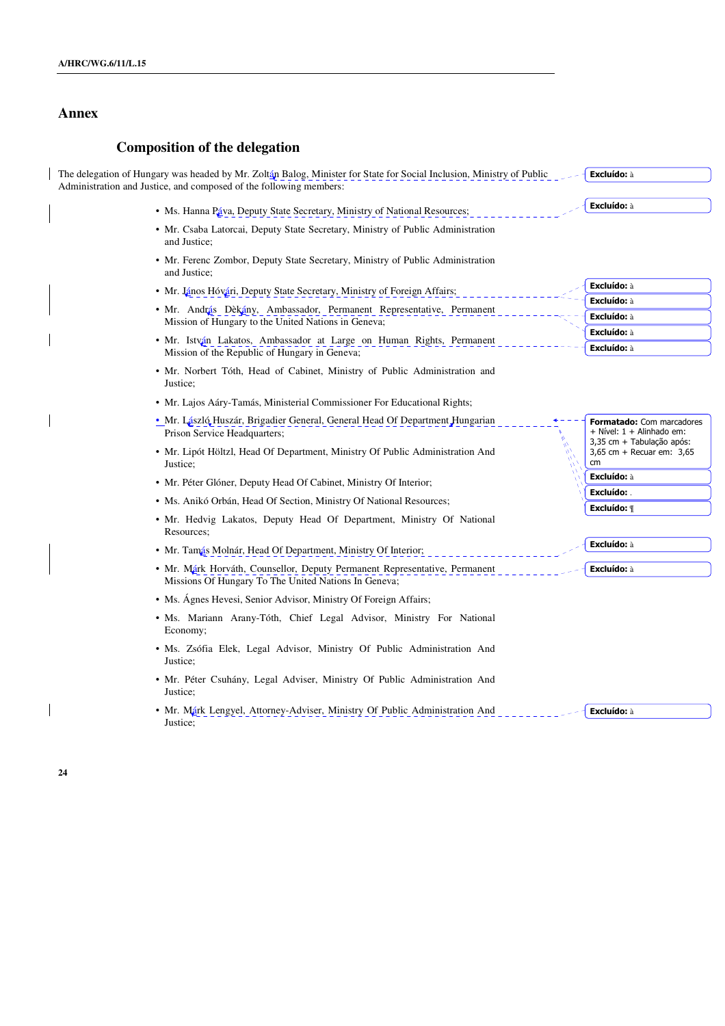## **Annex**

## **Composition of the delegation**

The delegation of Hungary was headed by Mr. Zoltán Balog, Minister for State for Social Inclusion, Ministry of Public Administration and Justice, and composed of the following members: Excluído: à

- Ms. Hanna Páva, Deputy State Secretary, Ministry of National Resources;
- Mr. Csaba Latorcai, Deputy State Secretary, Ministry of Public Administration and Justice;
- Mr. Ferenc Zombor, Deputy State Secretary, Ministry of Public Administration and Justice;
- Mr. János Hóvári, Deputy State Secretary, Ministry of Foreign Affairs;
- Mr. András Dèkány, Ambassador, Permanent Representative, Permanen Mission of Hungary to the United Nations in Geneva;
- Mr. István Lakatos, Ambassador at Large on Human Rights, Permanent Mission of the Republic of Hungary in Geneva;
- Mr. Norbert Tóth, Head of Cabinet, Ministry of Public Administration and Justice;
- Mr. Lajos Aáry-Tamás, Ministerial Commissioner For Educational Rights;
- Mr. László Huszár, Brigadier General, General Head Of Department Hungarian Prison Service Headquarters;
- Mr. Lipót Höltzl, Head Of Department, Ministry Of Public Administration And Justice;
- Mr. Péter Glóner, Deputy Head Of Cabinet, Ministry Of Interior;
- Ms. Anikó Orbán, Head Of Section, Ministry Of National Resources;
- Mr. Hedvig Lakatos, Deputy Head Of Department, Ministry Of National Resources;
- Mr. Tamás Molnár, Head Of Department, Ministry Of Interior;
- Mr. Márk Horváth, Counsellor, Deputy Permanent Representative, Permanent Missions Of Hungary To The United Nations In Geneva; Excluído: à
- Ms. Ágnes Hevesi, Senior Advisor, Ministry Of Foreign Affairs;
- Ms. Mariann Arany-Tóth, Chief Legal Advisor, Ministry For National Economy;
- Ms. Zsófia Elek, Legal Advisor, Ministry Of Public Administration And Justice;
- Mr. Péter Csuhány, Legal Adviser, Ministry Of Public Administration And Justice;
- Mr. Márk Lengyel, Attorney-Adviser, Ministry Of Public Administration And Justice; Excluído: à

Excluído: à

Formatado: Com marcadores + Nível: 1 + Alinhado em: 3,35 cm + Tabulação após: 3,65 cm + Recuar em: 3,65

cm

Excluído: à Excluído: Excluído: ¶

Excluído: à